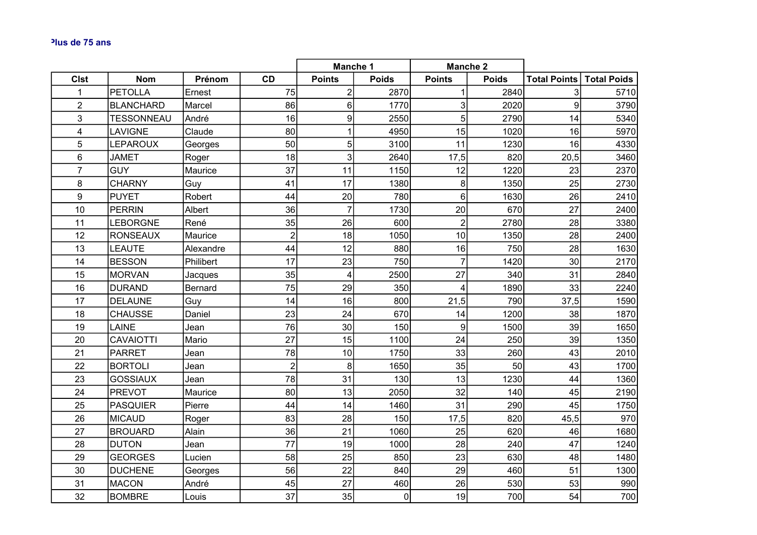|                |                   |           |                 | <b>Manche 1</b> |                | <b>Manche 2</b>  |              |                         |                    |
|----------------|-------------------|-----------|-----------------|-----------------|----------------|------------------|--------------|-------------------------|--------------------|
| <b>CIst</b>    | <b>Nom</b>        | Prénom    | <b>CD</b>       | <b>Points</b>   | <b>Poids</b>   | <b>Points</b>    | <b>Poids</b> | <b>Total Points</b>     | <b>Total Poids</b> |
| $\mathbf 1$    | <b>PETOLLA</b>    | Ernest    | 75              | $\overline{2}$  | 2870           | 1                | 2840         | $\overline{\mathbf{3}}$ | 5710               |
| $\overline{2}$ | <b>BLANCHARD</b>  | Marcel    | 86              | 6 <sup>1</sup>  | 1770           | 3 <sup>1</sup>   | 2020         | 9                       | 3790               |
| 3              | <b>TESSONNEAU</b> | André     | 16              | $\vert 9 \vert$ | 2550           | 5 <sup>1</sup>   | 2790         | 14                      | 5340               |
| 4              | LAVIGNE           | Claude    | 80              | $\mathbf{1}$    | 4950           | 15               | 1020         | 16                      | 5970               |
| 5              | <b>LEPAROUX</b>   | Georges   | 50              | 5 <sup>1</sup>  | 3100           | 11               | 1230         | 16                      | 4330               |
| 6              | <b>JAMET</b>      | Roger     | 18              | $\mathbf{3}$    | 2640           | 17,5             | 820          | 20,5                    | 3460               |
| $\overline{7}$ | <b>GUY</b>        | Maurice   | 37              | 11              | 1150           | 12               | 1220         | 23                      | 2370               |
| 8              | <b>CHARNY</b>     | Guy       | 41              | 17              | 1380           | $\boldsymbol{8}$ | 1350         | 25                      | 2730               |
| 9              | <b>PUYET</b>      | Robert    | 44              | 20              | 780            | $6 \overline{6}$ | 1630         | 26                      | 2410               |
| 10             | PERRIN            | Albert    | 36              | $\overline{7}$  | 1730           | 20               | 670          | 27                      | 2400               |
| 11             | <b>LEBORGNE</b>   | René      | 35              | 26              | 600            | $\overline{2}$   | 2780         | 28                      | 3380               |
| 12             | <b>RONSEAUX</b>   | Maurice   | $\overline{2}$  | 18              | 1050           | 10               | 1350         | 28                      | 2400               |
| 13             | LEAUTE            | Alexandre | 44              | 12              | 880            | 16               | 750          | 28                      | 1630               |
| 14             | <b>BESSON</b>     | Philibert | 17              | 23              | 750            | $\overline{7}$   | 1420         | 30                      | 2170               |
| 15             | <b>MORVAN</b>     | Jacques   | 35              | $\overline{4}$  | 2500           | 27               | 340          | 31                      | 2840               |
| 16             | <b>DURAND</b>     | Bernard   | 75              | 29              | 350            | $\overline{4}$   | 1890         | 33                      | 2240               |
| 17             | <b>DELAUNE</b>    | Guy       | 14              | 16              | 800            | 21,5             | 790          | 37,5                    | 1590               |
| 18             | <b>CHAUSSE</b>    | Daniel    | 23              | 24              | 670            | 14               | 1200         | 38                      | 1870               |
| 19             | LAINE             | Jean      | 76              | 30              | 150            | $\overline{9}$   | 1500         | 39                      | 1650               |
| 20             | <b>CAVAIOTTI</b>  | Mario     | 27              | 15              | 1100           | 24               | 250          | 39                      | 1350               |
| 21             | <b>PARRET</b>     | Jean      | 78              | 10              | 1750           | 33               | 260          | 43                      | 2010               |
| 22             | <b>BORTOLI</b>    | Jean      | $\overline{2}$  | 8 <sup>1</sup>  | 1650           | 35               | 50           | 43                      | 1700               |
| 23             | <b>GOSSIAUX</b>   | Jean      | 78              | 31              | 130            | 13               | 1230         | 44                      | 1360               |
| 24             | <b>PREVOT</b>     | Maurice   | 80 <sup>2</sup> | 13              | 2050           | 32               | 140          | 45                      | 2190               |
| 25             | <b>PASQUIER</b>   | Pierre    | 44              | 14              | 1460           | 31               | 290          | 45                      | 1750               |
| 26             | <b>MICAUD</b>     | Roger     | 83              | 28              | 150            | 17,5             | 820          | 45,5                    | 970                |
| 27             | <b>BROUARD</b>    | Alain     | 36              | 21              | 1060           | 25               | 620          | 46                      | 1680               |
| 28             | <b>DUTON</b>      | Jean      | 77              | 19              | 1000           | 28               | 240          | 47                      | 1240               |
| 29             | <b>GEORGES</b>    | Lucien    | 58              | 25              | 850            | 23               | 630          | 48                      | 1480               |
| 30             | <b>DUCHENE</b>    | Georges   | 56              | 22              | 840            | 29               | 460          | 51                      | 1300               |
| 31             | <b>MACON</b>      | André     | 45              | 27              | 460            | 26               | 530          | 53                      | 990                |
| 32             | <b>BOMBRE</b>     | Louis     | 37              | 35              | $\overline{0}$ | 19               | 700          | 54                      | 700                |